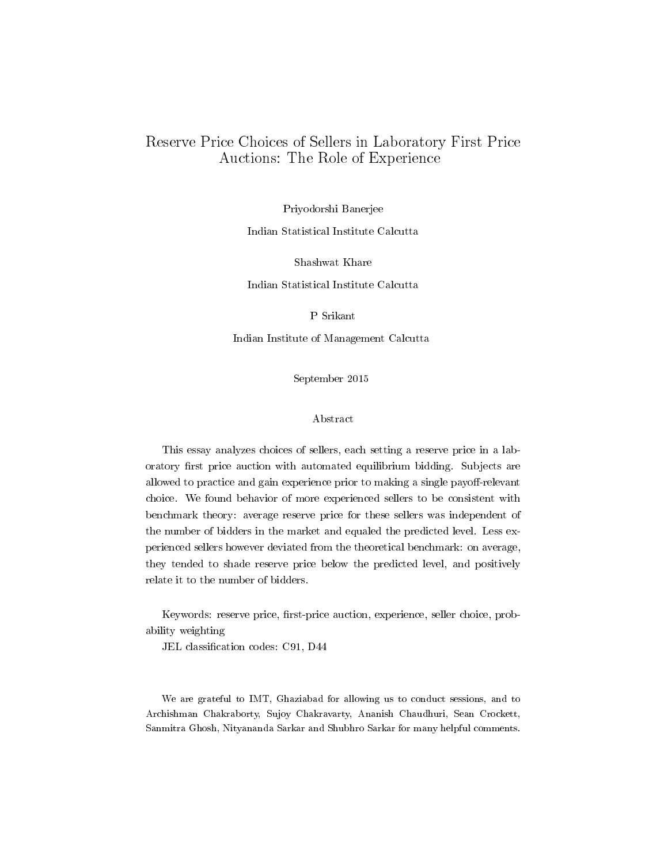## Reserve Price Choices of Sellers in Laboratory First Price Auctions: The Role of Experience

Priyodorshi Banerjee

Indian Statistical Institute Calcutta

Shashwat Khare

Indian Statistical Institute Calcutta

P Srikant

Indian Institute of Management Calcutta

September 2015

#### Abstract

This essay analyzes choices of sellers, each setting a reserve price in a laboratory first price auction with automated equilibrium bidding. Subjects are allowed to practice and gain experience prior to making a single payoff-relevant choice. We found behavior of more experienced sellers to be consistent with benchmark theory: average reserve price for these sellers was independent of the number of bidders in the market and equaled the predicted level. Less experienced sellers however deviated from the theoretical benchmark: on average, they tended to shade reserve price below the predicted level, and positively relate it to the number of bidders.

Keywords: reserve price, first-price auction, experience, seller choice, probability weighting

JEL classification codes: C91, D44

We are grateful to IMT, Ghaziabad for allowing us to conduct sessions, and to Archishman Chakraborty, Sujoy Chakravarty, Ananish Chaudhuri, Sean Crockett, Sanmitra Ghosh, Nityananda Sarkar and Shubhro Sarkar for many helpful comments.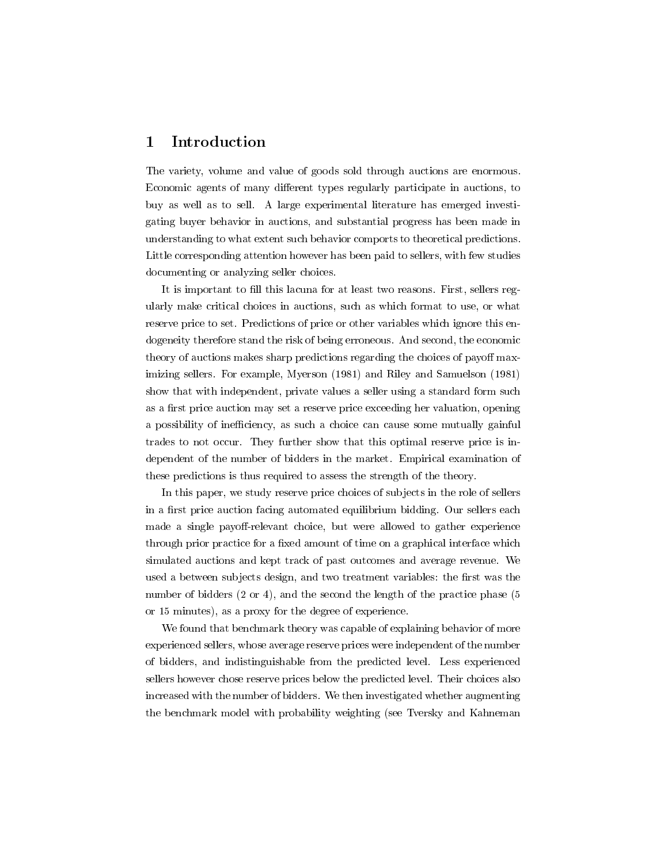### 1 Introduction

The variety, volume and value of goods sold through auctions are enormous. Economic agents of many different types regularly participate in auctions, to buy as well as to sell. A large experimental literature has emerged investigating buyer behavior in auctions, and substantial progress has been made in understanding to what extent such behavior comports to theoretical predictions. Little corresponding attention however has been paid to sellers, with few studies documenting or analyzing seller choices.

It is important to fill this lacuna for at least two reasons. First, sellers regularly make critical choices in auctions, such as which format to use, or what reserve price to set. Predictions of price or other variables which ignore this endogeneity therefore stand the risk of being erroneous. And second, the economic theory of auctions makes sharp predictions regarding the choices of payoff maximizing sellers. For example, Myerson (1981) and Riley and Samuelson (1981) show that with independent, private values a seller using a standard form such as a first price auction may set a reserve price exceeding her valuation, opening a possibility of inefficiency, as such a choice can cause some mutually gainful trades to not occur. They further show that this optimal reserve price is independent of the number of bidders in the market. Empirical examination of these predictions is thus required to assess the strength of the theory.

In this paper, we study reserve price choices of subjects in the role of sellers in a first price auction facing automated equilibrium bidding. Our sellers each made a single payoff-relevant choice, but were allowed to gather experience through prior practice for a fixed amount of time on a graphical interface which simulated auctions and kept track of past outcomes and average revenue. We used a between subjects design, and two treatment variables: the first was the number of bidders  $(2 \text{ or } 4)$ , and the second the length of the practice phase  $(5)$ or 15 minutes), as a proxy for the degree of experience.

We found that benchmark theory was capable of explaining behavior of more experienced sellers, whose average reserve prices were independent of the number of bidders, and indistinguishable from the predicted level. Less experienced sellers however chose reserve prices below the predicted level. Their choices also increased with the number of bidders. We then investigated whether augmenting the benchmark model with probability weighting (see Tversky and Kahneman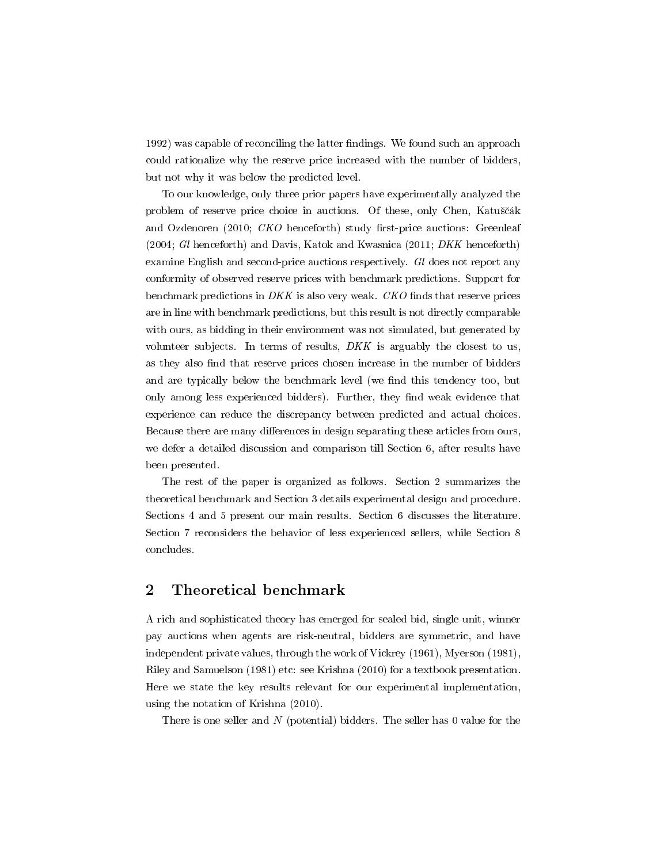1992) was capable of reconciling the latter findings. We found such an approach could rationalize why the reserve price increased with the number of bidders, but not why it was below the predicted level.

To our knowledge, only three prior papers have experimentally analyzed the problem of reserve price choice in auctions. Of these, only Chen, Katuščák and Ozdenoren (2010;  $CKO$  henceforth) study first-price auctions: Greenleaf (2004; Gl henceforth) and Davis, Katok and Kwasnica (2011; DKK henceforth) examine English and second-price auctions respectively. Gl does not report any conformity of observed reserve prices with benchmark predictions. Support for benchmark predictions in DKK is also very weak. CKO finds that reserve prices are in line with benchmark predictions, but this result is not directly comparable with ours, as bidding in their environment was not simulated, but generated by volunteer subjects. In terms of results,  $DKK$  is arguably the closest to us, as they also find that reserve prices chosen increase in the number of bidders and are typically below the benchmark level (we find this tendency too, but only among less experienced bidders). Further, they find weak evidence that experience can reduce the discrepancy between predicted and actual choices. Because there are many differences in design separating these articles from ours, we defer a detailed discussion and comparison till Section 6, after results have been presented.

The rest of the paper is organized as follows. Section 2 summarizes the theoretical benchmark and Section 3 details experimental design and procedure. Sections 4 and 5 present our main results. Section 6 discusses the literature. Section 7 reconsiders the behavior of less experienced sellers, while Section 8 concludes.

### 2 Theoretical benchmark

A rich and sophisticated theory has emerged for sealed bid, single unit, winner pay auctions when agents are risk-neutral, bidders are symmetric, and have independent private values, through the work of Vickrey (1961), Myerson (1981), Riley and Samuelson (1981) etc: see Krishna (2010) for a textbook presentation. Here we state the key results relevant for our experimental implementation, using the notation of Krishna (2010).

There is one seller and  $N$  (potential) bidders. The seller has 0 value for the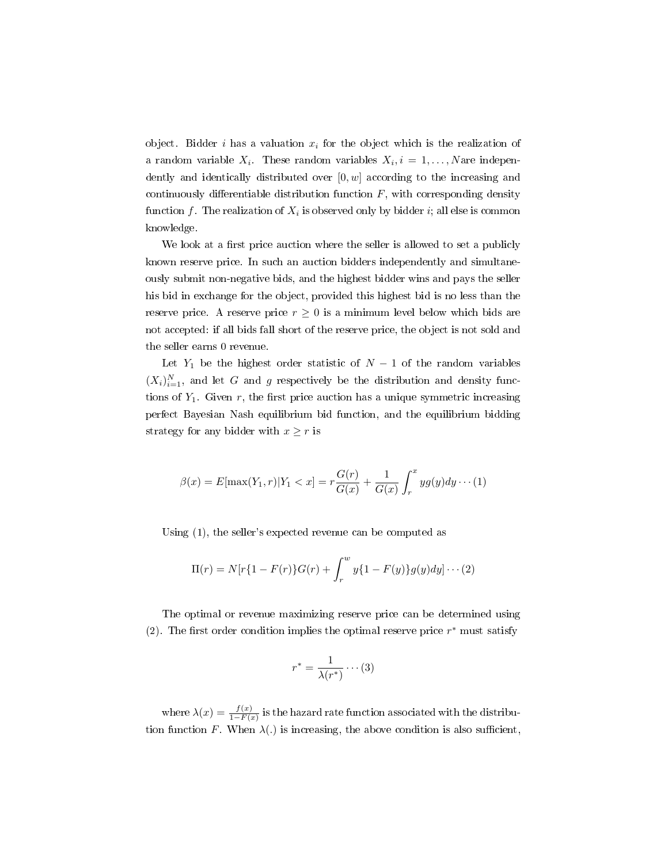object. Bidder i has a valuation  $x_i$  for the object which is the realization of a random variable  $X_i$ . These random variables  $X_i, i = 1, \ldots, N$  are independently and identically distributed over  $[0, w]$  according to the increasing and continuously differentiable distribution function  $F$ , with corresponding density function  $f$  . The realization of  $X_i$  is observed only by bidder  $i;$  all else is common knowledge.

We look at a first price auction where the seller is allowed to set a publicly known reserve price. In such an auction bidders independently and simultaneously submit non-negative bids, and the highest bidder wins and pays the seller his bid in exchange for the object, provided this highest bid is no less than the reserve price. A reserve price  $r \geq 0$  is a minimum level below which bids are not accepted: if all bids fall short of the reserve price, the object is not sold and the seller earns 0 revenue.

Let  $Y_1$  be the highest order statistic of  $N-1$  of the random variables  $(X_i)_{i=1}^N$ , and let G and g respectively be the distribution and density functions of  $Y_1$ . Given r, the first price auction has a unique symmetric increasing perfect Bayesian Nash equilibrium bid function, and the equilibrium bidding strategy for any bidder with  $x \geq r$  is

$$
\beta(x) = E[\max(Y_1, r)|Y_1 < x] = r\frac{G(r)}{G(x)} + \frac{1}{G(x)} \int_r^x yg(y)dy \cdots (1)
$$

Using (1), the seller's expected revenue can be computed as

$$
\Pi(r) = N[r\{1 - F(r)\}G(r) + \int_r^w y\{1 - F(y)\}g(y)dy] \cdots (2)
$$

The optimal or revenue maximizing reserve price can be determined using (2). The first order condition implies the optimal reserve price  $r^*$  must satisfy

$$
r^* = \frac{1}{\lambda(r^*)} \cdots (3)
$$

where  $\lambda(x) = \frac{f(x)}{1 - F(x)}$  is the hazard rate function associated with the distribution function F. When  $\lambda(.)$  is increasing, the above condition is also sufficient,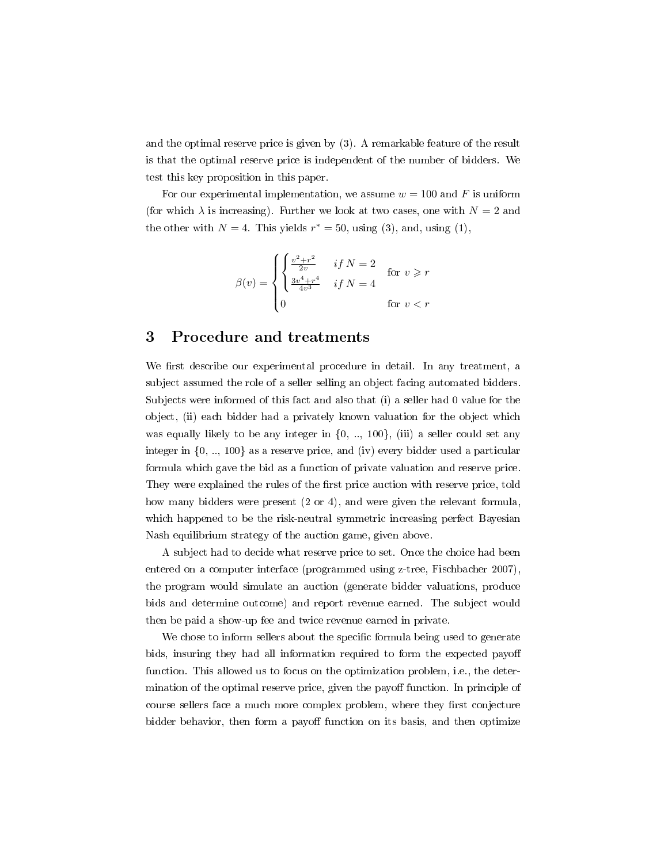and the optimal reserve price is given by (3). A remarkable feature of the result is that the optimal reserve price is independent of the number of bidders. We test this key proposition in this paper.

For our experimental implementation, we assume  $w = 100$  and F is uniform (for which  $\lambda$  is increasing). Further we look at two cases, one with  $N = 2$  and the other with  $N = 4$ . This yields  $r^* = 50$ , using (3), and, using (1),

$$
\beta(v) = \begin{cases} \begin{cases} \frac{v^2 + r^2}{2v} & \text{if } N = 2\\ \frac{3v^4 + r^4}{4v^3} & \text{if } N = 4 \end{cases} \quad \text{for } v \geq r\\ 0 & \text{for } v < r \end{cases}
$$

#### 3 Procedure and treatments

We first describe our experimental procedure in detail. In any treatment, a subject assumed the role of a seller selling an object facing automated bidders. Subjects were informed of this fact and also that (i) a seller had 0 value for the object, (ii) each bidder had a privately known valuation for the object which was equally likely to be any integer in  $\{0, \ldots, 100\}$ , (iii) a seller could set any integer in  $\{0, \ldots, 100\}$  as a reserve price, and (iv) every bidder used a particular formula which gave the bid as a function of private valuation and reserve price. They were explained the rules of the first price auction with reserve price, told how many bidders were present (2 or 4), and were given the relevant formula, which happened to be the risk-neutral symmetric increasing perfect Bayesian Nash equilibrium strategy of the auction game, given above.

A subject had to decide what reserve price to set. Once the choice had been entered on a computer interface (programmed using z-tree, Fischbacher 2007), the program would simulate an auction (generate bidder valuations, produce bids and determine outcome) and report revenue earned. The subject would then be paid a show-up fee and twice revenue earned in private.

We chose to inform sellers about the specific formula being used to generate bids, insuring they had all information required to form the expected payo function. This allowed us to focus on the optimization problem, i.e., the determination of the optimal reserve price, given the payoff function. In principle of course sellers face a much more complex problem, where they first conjecture bidder behavior, then form a payoff function on its basis, and then optimize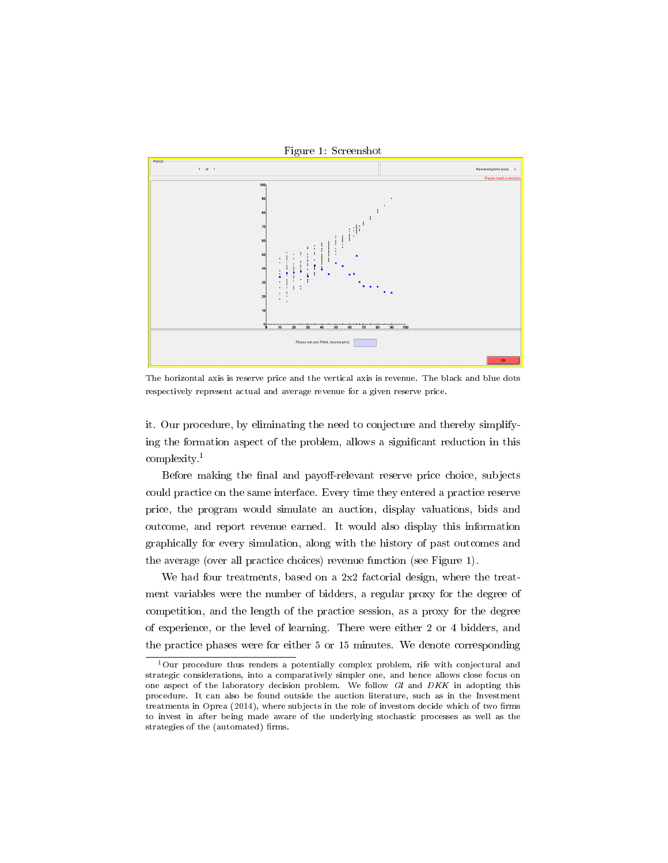

The horizontal axis is reserve price and the vertical axis is revenue. The black and blue dots respectively represent actual and average revenue for a given reserve price.

it. Our procedure, by eliminating the need to conjecture and thereby simplifying the formation aspect of the problem, allows a signicant reduction in this complexity.<sup>1</sup>

Before making the final and payoff-relevant reserve price choice, subjects could practice on the same interface. Every time they entered a practice reserve price, the program would simulate an auction, display valuations, bids and outcome, and report revenue earned. It would also display this information graphically for every simulation, along with the history of past outcomes and the average (over all practice choices) revenue function (see Figure 1).

We had four treatments, based on a  $2x2$  factorial design, where the treatment variables were the number of bidders, a regular proxy for the degree of competition, and the length of the practice session, as a proxy for the degree of experience, or the level of learning. There were either 2 or 4 bidders, and the practice phases were for either 5 or 15 minutes. We denote corresponding

 $1$ Our procedure thus renders a potentially complex problem, rife with conjectural and strategic considerations, into a comparatively simpler one, and hence allows close focus on one aspect of the laboratory decision problem. We follow Gl and DKK in adopting this procedure. It can also be found outside the auction literature, such as in the Investment treatments in Oprea (2014), where subjects in the role of investors decide which of two firms to invest in after being made aware of the underlying stochastic processes as well as the strategies of the (automated) firms.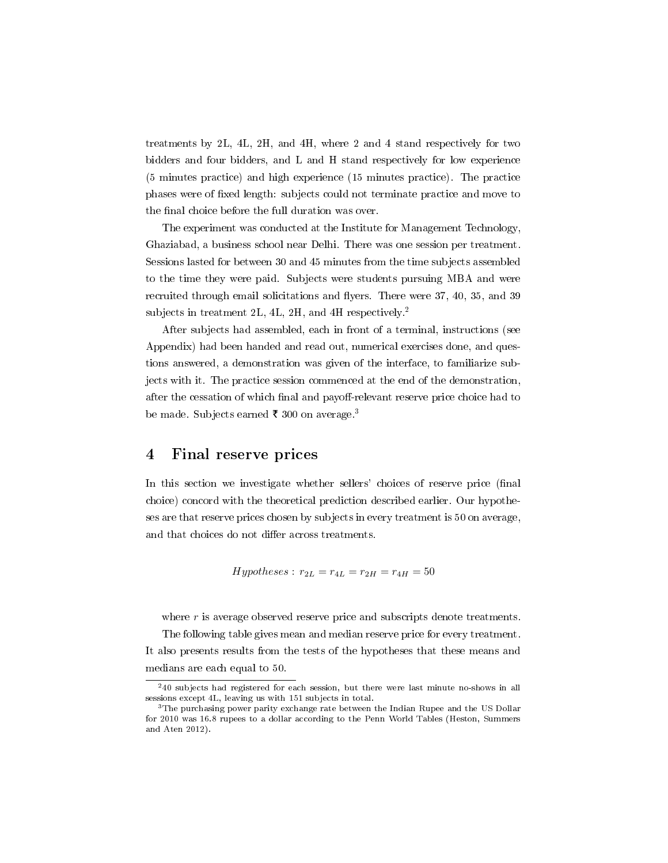treatments by 2L, 4L, 2H, and 4H, where 2 and 4 stand respectively for two bidders and four bidders, and L and H stand respectively for low experience (5 minutes practice) and high experience (15 minutes practice). The practice phases were of fixed length: subjects could not terminate practice and move to the final choice before the full duration was over.

The experiment was conducted at the Institute for Management Technology, Ghaziabad, a business school near Delhi. There was one session per treatment. Sessions lasted for between 30 and 45 minutes from the time subjects assembled to the time they were paid. Subjects were students pursuing MBA and were recruited through email solicitations and flyers. There were 37, 40, 35, and 39 subjects in treatment 2L, 4L, 2H, and 4H respectively.<sup>2</sup>

After subjects had assembled, each in front of a terminal, instructions (see Appendix) had been handed and read out, numerical exercises done, and questions answered, a demonstration was given of the interface, to familiarize subjects with it. The practice session commenced at the end of the demonstration, after the cessation of which final and payoff-relevant reserve price choice had to be made. Subjects earned  $\bar{\tau}$  300 on average.<sup>3</sup>

#### 4 Final reserve prices

In this section we investigate whether sellers' choices of reserve price (final choice) concord with the theoretical prediction described earlier. Our hypotheses are that reserve prices chosen by subjects in every treatment is 50 on average, and that choices do not differ across treatments.

$$
Hypotheses: r_{2L} = r_{4L} = r_{2H} = r_{4H} = 50
$$

where  $r$  is average observed reserve price and subscripts denote treatments. The following table gives mean and median reserve price for every treatment. It also presents results from the tests of the hypotheses that these means and medians are each equal to 50.

 $240$  subjects had registered for each session, but there were last minute no-shows in all sessions except 4L, leaving us with 151 subjects in total.

<sup>&</sup>lt;sup>3</sup>The purchasing power parity exchange rate between the Indian Rupee and the US Dollar for 2010 was 16.8 rupees to a dollar according to the Penn World Tables (Heston, Summers and Aten 2012).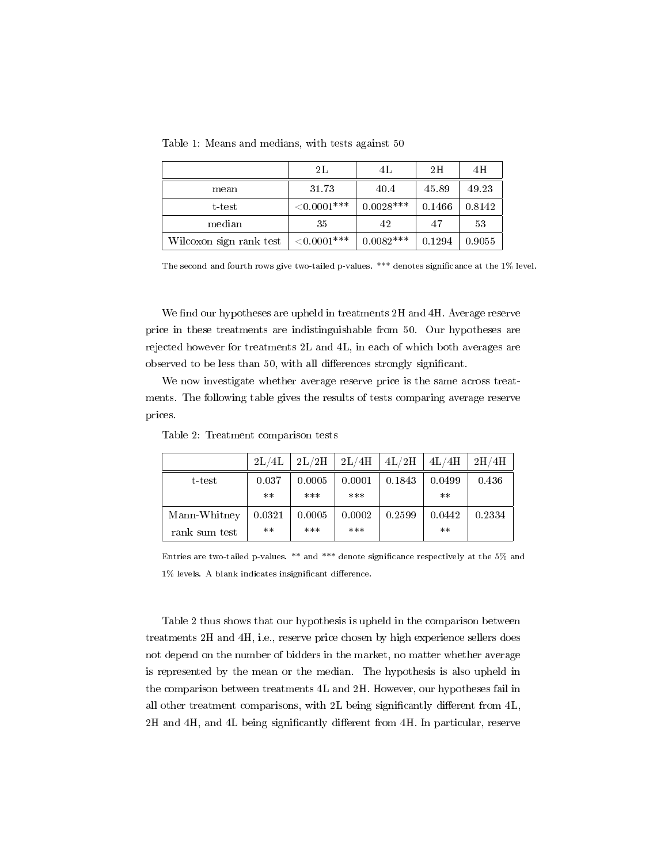|                         | 2L             | 4Е          | 2H     | 4H     |
|-------------------------|----------------|-------------|--------|--------|
| mean                    | 31.73          | 40.4        | 45.89  | 49.23  |
| t-test                  | ${<}0.0001***$ | $0.0028***$ | 0.1466 | 0.8142 |
| median                  | 35             | 42          | 47     | 53     |
| Wilcoxon sign rank test | ${<}0.0001***$ | $0.0082***$ | 0.1294 | 0.9055 |

Table 1: Means and medians, with tests against 50

The second and fourth rows give two-tailed p-values. \*\*\* denotes significance at the 1% level.

We find our hypotheses are upheld in treatments  $2H$  and  $4H$ . Average reserve price in these treatments are indistinguishable from 50. Our hypotheses are rejected however for treatments 2L and 4L, in each of which both averages are observed to be less than 50, with all differences strongly significant.

We now investigate whether average reserve price is the same across treatments. The following table gives the results of tests comparing average reserve prices.

|               | 2L/4L  | $2\mathrm{L}/2\mathrm{H}$ | 2L/4H  | 4L/2H  | 4L/4H  | $2\mathrm{H}/4\mathrm{H}$ |
|---------------|--------|---------------------------|--------|--------|--------|---------------------------|
| t-test        | 0.037  | 0.0005                    | 0.0001 | 0.1843 | 0.0499 | 0.436                     |
|               | $***$  | ***                       | ***    |        | $**$   |                           |
| Mann-Whitney  | 0.0321 | 0.0005                    | 0.0002 | 0.2599 | 0.0442 | 0.2334                    |
| rank sum test | $***$  | ***                       | ***    |        | $**$   |                           |

Table 2: Treatment comparison tests

Entries are two-tailed p-values. \*\* and \*\*\* denote signicance respectively at the 5% and  $1\%$  levels. A blank indicates insignificant difference.

Table 2 thus shows that our hypothesis is upheld in the comparison between treatments 2H and 4H, i.e., reserve price chosen by high experience sellers does not depend on the number of bidders in the market, no matter whether average is represented by the mean or the median. The hypothesis is also upheld in the comparison between treatments 4L and 2H. However, our hypotheses fail in all other treatment comparisons, with 2L being significantly different from 4L, 2H and 4H, and 4L being significantly different from 4H. In particular, reserve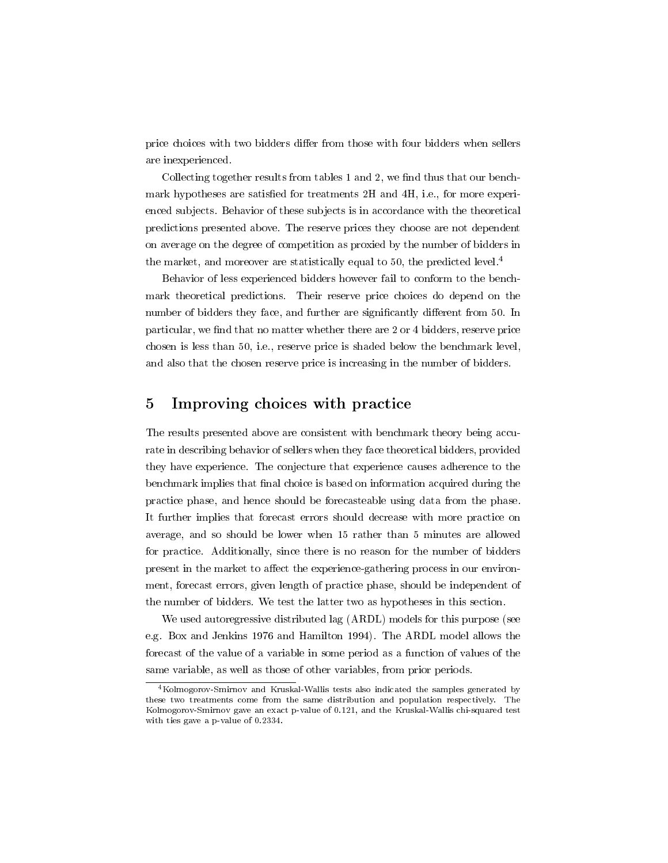price choices with two bidders differ from those with four bidders when sellers are inexperienced.

Collecting together results from tables 1 and 2, we find thus that our benchmark hypotheses are satisfied for treatments 2H and 4H, i.e., for more experienced subjects. Behavior of these subjects is in accordance with the theoretical predictions presented above. The reserve prices they choose are not dependent on average on the degree of competition as proxied by the number of bidders in the market, and moreover are statistically equal to 50, the predicted level.<sup>4</sup>

Behavior of less experienced bidders however fail to conform to the benchmark theoretical predictions. Their reserve price choices do depend on the number of bidders they face, and further are significantly different from 50. In particular, we find that no matter whether there are 2 or 4 bidders, reserve price chosen is less than 50, i.e., reserve price is shaded below the benchmark level, and also that the chosen reserve price is increasing in the number of bidders.

#### 5 Improving choices with practice

The results presented above are consistent with benchmark theory being accurate in describing behavior of sellers when they face theoretical bidders, provided they have experience. The conjecture that experience causes adherence to the benchmark implies that final choice is based on information acquired during the practice phase, and hence should be forecasteable using data from the phase. It further implies that forecast errors should decrease with more practice on average, and so should be lower when 15 rather than 5 minutes are allowed for practice. Additionally, since there is no reason for the number of bidders present in the market to affect the experience-gathering process in our environment, forecast errors, given length of practice phase, should be independent of the number of bidders. We test the latter two as hypotheses in this section.

We used autoregressive distributed lag (ARDL) models for this purpose (see e.g. Box and Jenkins 1976 and Hamilton 1994). The ARDL model allows the forecast of the value of a variable in some period as a function of values of the same variable, as well as those of other variables, from prior periods.

<sup>4</sup>Kolmogorov-Smirnov and Kruskal-Wallis tests also indicated the samples generated by these two treatments come from the same distribution and population respectively. The Kolmogorov-Smirnov gave an exact p-value of 0.121, and the Kruskal-Wallis chi-squared test with ties gave a p-value of 0.2334.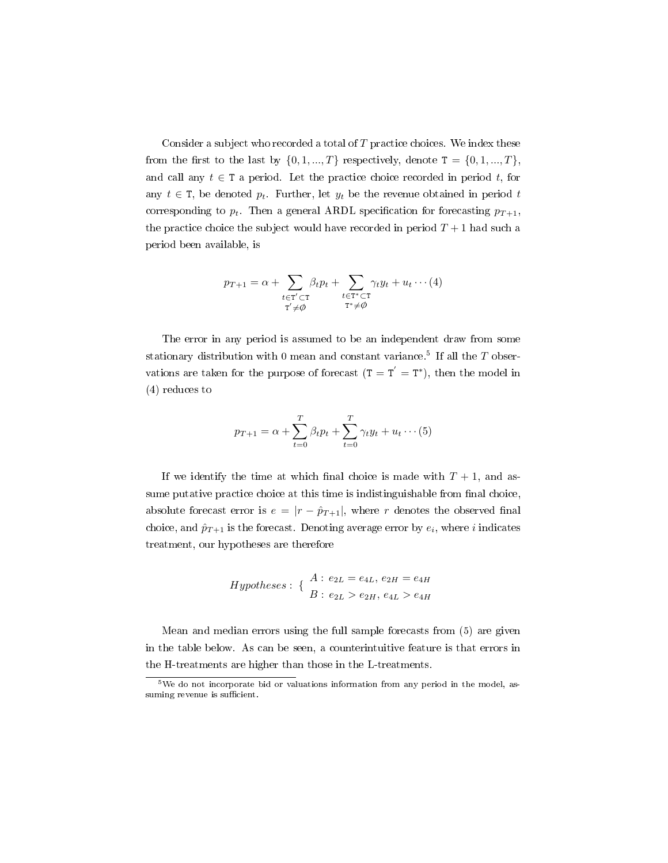Consider a subject who recorded a total of  $T$  practice choices. We index these from the first to the last by  $\{0, 1, ..., T\}$  respectively, denote  $T = \{0, 1, ..., T\}$ , and call any  $t \in \mathcal{T}$  a period. Let the practice choice recorded in period t, for any  $t \in \mathcal{T}$ , be denoted  $p_t$ . Further, let  $y_t$  be the revenue obtained in period t corresponding to  $p_t$ . Then a general ARDL specification for forecasting  $p_{T+1}$ , the practice choice the subject would have recorded in period  $T + 1$  had such a period been available, is

$$
p_{T+1} = \alpha + \sum_{\substack{t \in T' \subset T \\ T' \neq \emptyset}} \beta_t p_t + \sum_{\substack{t \in T^* \subset T \\ T^* \neq \emptyset}} \gamma_t y_t + u_t \cdots (4)
$$

The error in any period is assumed to be an independent draw from some stationary distribution with 0 mean and constant variance.<sup>5</sup> If all the  $T$  observations are taken for the purpose of forecast  $(T = T^{'} = T^{*})$ , then the model in (4) reduces to

$$
p_{T+1} = \alpha + \sum_{t=0}^{T} \beta_t p_t + \sum_{t=0}^{T} \gamma_t y_t + u_t \cdots (5)
$$

If we identify the time at which final choice is made with  $T + 1$ , and assume putative practice choice at this time is indistinguishable from final choice, absolute forecast error is  $e = |r - \hat{p}_{T+1}|$ , where r denotes the observed final choice, and  $\hat{p}_{T+1}$  is the forecast. Denoting average error by  $e_i$ , where i indicates treatment, our hypotheses are therefore

$$
Hypotheses: \{ \begin{array}{l} A: e_{2L} = e_{4L}, e_{2H} = e_{4H} \\ B: e_{2L} > e_{2H}, e_{4L} > e_{4H} \end{array}
$$

Mean and median errors using the full sample forecasts from (5) are given in the table below. As can be seen, a counterintuitive feature is that errors in the H-treatments are higher than those in the L-treatments.

<sup>&</sup>lt;sup>5</sup>We do not incorporate bid or valuations information from any period in the model, assuming revenue is sufficient.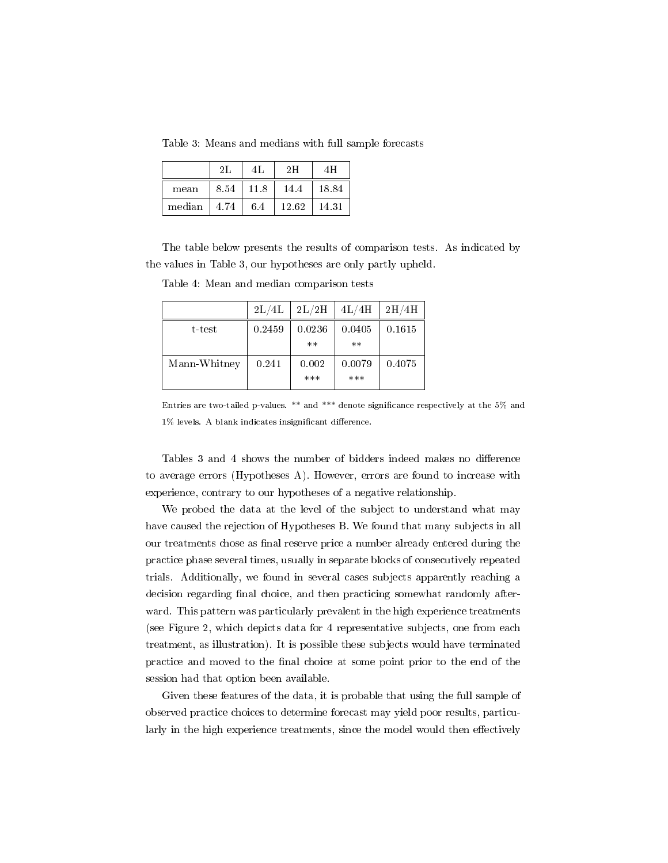Table 3: Means and medians with full sample forecasts

|        | 2L   | 4L   | 2H    |       |  |
|--------|------|------|-------|-------|--|
| mean   | 8.54 | 11.8 | 14.4  | 18.84 |  |
| median | 4.74 | 6.4  | 12.62 | 14.31 |  |

The table below presents the results of comparison tests. As indicated by the values in Table 3, our hypotheses are only partly upheld.

|              | 2L/4L  | 2L/2H           | 4L/4H          | 2H/4H  |
|--------------|--------|-----------------|----------------|--------|
| t-test       | 0.2459 | 0.0236<br>$***$ | 0.0405<br>$**$ | 0.1615 |
| Mann-Whitney | 0.241  | 0.002<br>***    | 0.0079<br>***  | 0.4075 |

Table 4: Mean and median comparison tests

Entries are two-tailed p-values. \*\* and \*\*\* denote signicance respectively at the 5% and  $1\%$  levels. A blank indicates insignificant difference.

Tables 3 and 4 shows the number of bidders indeed makes no difference to average errors (Hypotheses A). However, errors are found to increase with experience, contrary to our hypotheses of a negative relationship.

We probed the data at the level of the subject to understand what may have caused the rejection of Hypotheses B. We found that many subjects in all our treatments chose as final reserve price a number already entered during the practice phase several times, usually in separate blocks of consecutively repeated trials. Additionally, we found in several cases subjects apparently reaching a decision regarding final choice, and then practicing somewhat randomly afterward. This pattern was particularly prevalent in the high experience treatments (see Figure 2, which depicts data for 4 representative subjects, one from each treatment, as illustration). It is possible these subjects would have terminated practice and moved to the nal choice at some point prior to the end of the session had that option been available.

Given these features of the data, it is probable that using the full sample of observed practice choices to determine forecast may yield poor results, particularly in the high experience treatments, since the model would then effectively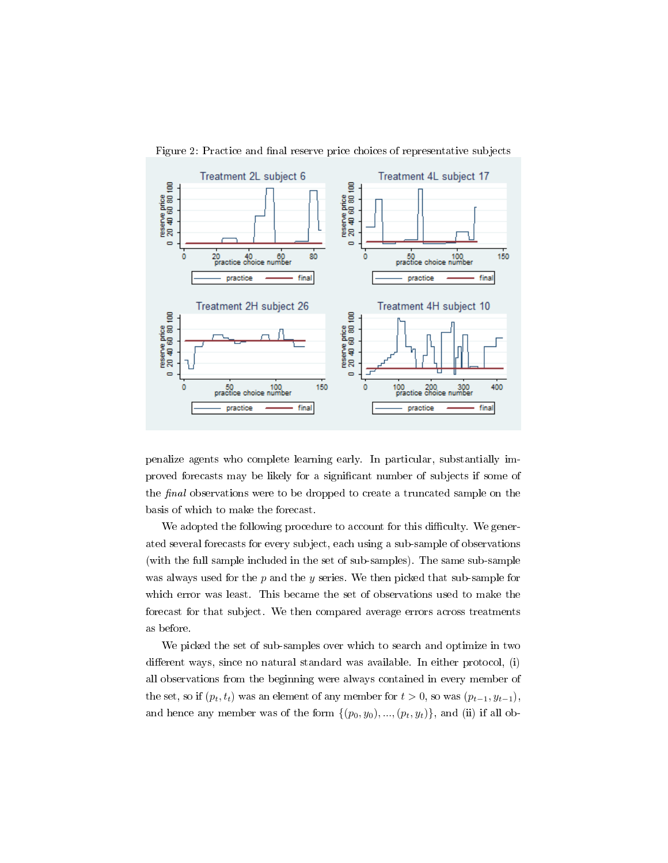

Figure 2: Practice and final reserve price choices of representative subjects

penalize agents who complete learning early. In particular, substantially improved forecasts may be likely for a signicant number of subjects if some of the final observations were to be dropped to create a truncated sample on the basis of which to make the forecast.

We adopted the following procedure to account for this difficulty. We generated several forecasts for every subject, each using a sub-sample of observations (with the full sample included in the set of sub-samples). The same sub-sample was always used for the  $p$  and the  $y$  series. We then picked that sub-sample for which error was least. This became the set of observations used to make the forecast for that subject. We then compared average errors across treatments as before.

We picked the set of sub-samples over which to search and optimize in two different ways, since no natural standard was available. In either protocol,  $(i)$ all observations from the beginning were always contained in every member of the set, so if  $(p_t, t_t)$  was an element of any member for  $t > 0$ , so was  $(p_{t-1}, y_{t-1})$ , and hence any member was of the form  $\{(p_0, y_0), ..., (p_t, y_t)\}$ , and (ii) if all ob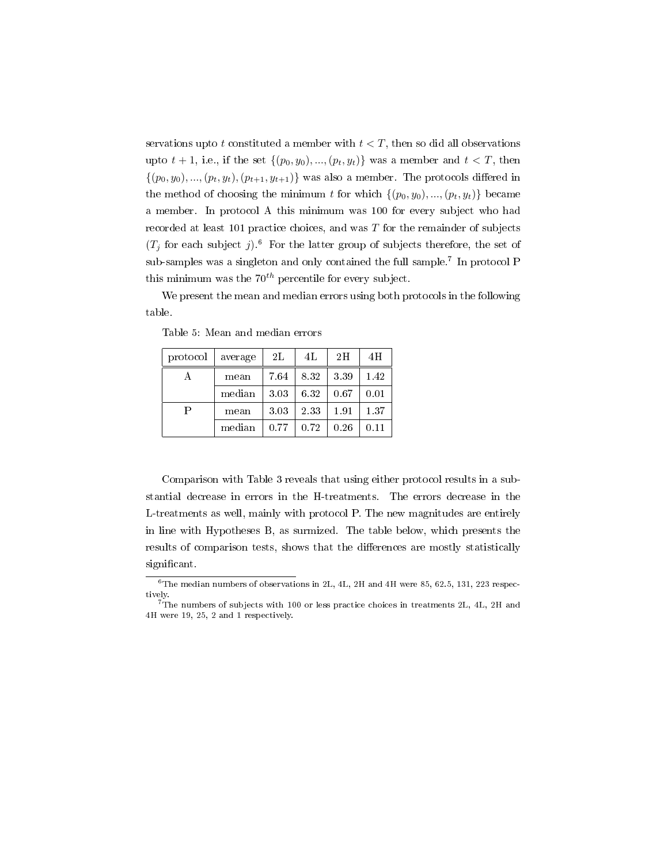servations upto t constituted a member with  $t < T$ , then so did all observations upto  $t + 1$ , i.e., if the set  $\{(p_0, y_0), ..., (p_t, y_t)\}\)$  was a member and  $t < T$ , then  $\{(p_0, y_0), ..., (p_t, y_t), (p_{t+1}, y_{t+1})\}$  was also a member. The protocols differed in the method of choosing the minimum t for which  $\{(p_0, y_0), ..., (p_t, y_t)\}\)$  became a member. In protocol A this minimum was 100 for every subject who had recorded at least 101 practice choices, and was  $T$  for the remainder of subjects  $(T_j$  for each subject j).<sup>6</sup> For the latter group of subjects therefore, the set of sub-samples was a singleton and only contained the full sample.<sup>7</sup> In protocol P this minimum was the  $70^{th}$  percentile for every subject.

We present the mean and median errors using both protocols in the following table.

| protocol | average | 2L   | 4L   | 2H   | 4H   |
|----------|---------|------|------|------|------|
| А        | mean    | 7.64 | 8.32 | 3.39 | 1.42 |
|          | median  | 3.03 | 6.32 | 0.67 | 0.01 |
| Р        | mean    | 3.03 | 2.33 | 1.91 | 1.37 |
|          | median  | 0.77 | 0.72 | 0.26 | 0.11 |

Table 5: Mean and median errors

Comparison with Table 3 reveals that using either protocol results in a substantial decrease in errors in the H-treatments. The errors decrease in the L-treatments as well, mainly with protocol P. The new magnitudes are entirely in line with Hypotheses B, as surmized. The table below, which presents the results of comparison tests, shows that the differences are mostly statistically significant.

 $6$ The median numbers of observations in 2L, 4L, 2H and 4H were 85, 62.5, 131, 223 respectively.

 $^{7}$ The numbers of subjects with 100 or less practice choices in treatments 2L, 4L, 2H and 4H were 19, 25, 2 and 1 respectively.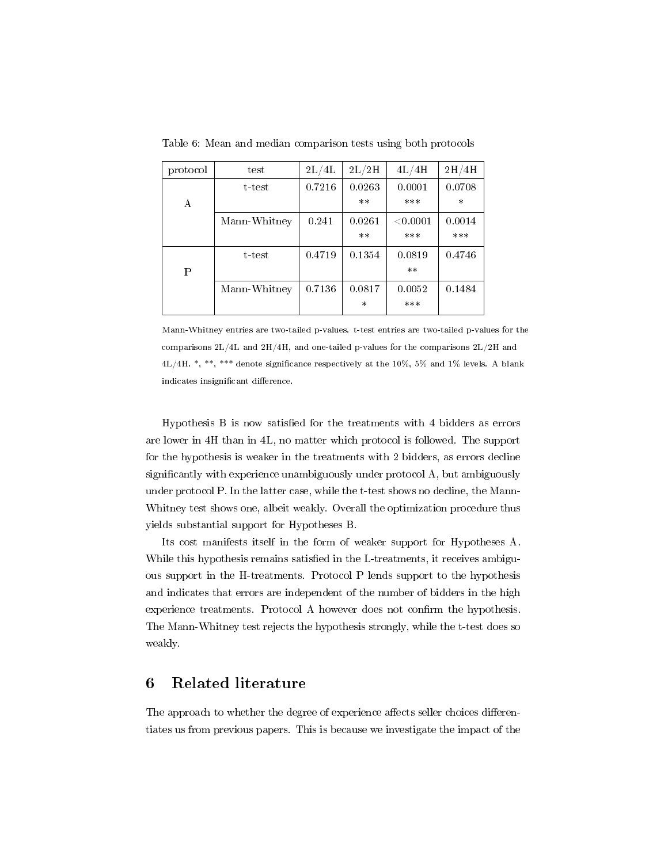| protocol | test         | $2\mathrm{L}/4\mathrm{L}$ | 2L/2H  | 4L/4H      | $2\mathrm{H}/4\mathrm{H}$ |
|----------|--------------|---------------------------|--------|------------|---------------------------|
|          | t-test       | 0.7216                    | 0.0263 | 0.0001     | 0.0708                    |
| A        |              |                           | $***$  | ***        | $\ast$                    |
|          | Mann-Whitney | 0.241                     | 0.0261 | $<$ 0.0001 | 0.0014                    |
|          |              |                           | $***$  | ***        | ***                       |
|          | t-test       | 0.4719                    | 0.1354 | 0.0819     | 0.4746                    |
| Ρ        |              |                           |        | $***$      |                           |
|          | Mann-Whitney | 0.7136                    | 0.0817 | 0.0052     | 0.1484                    |
|          |              |                           | $\ast$ | ***        |                           |

Table 6: Mean and median comparison tests using both protocols

Mann-Whitney entries are two-tailed p-values. t-test entries are two-tailed p-values for the comparisons 2L/4L and 2H/4H, and one-tailed p-values for the comparisons 2L/2H and 4L/4H. \*, \*\*, \*\*\* denote signicance respectively at the 10%, 5% and 1% levels. A blank indicates insignificant difference.

Hypothesis  $B$  is now satisfied for the treatments with 4 bidders as errors are lower in 4H than in 4L, no matter which protocol is followed. The support for the hypothesis is weaker in the treatments with 2 bidders, as errors decline significantly with experience unambiguously under protocol A, but ambiguously under protocol P. In the latter case, while the t-test shows no decline, the Mann-Whitney test shows one, albeit weakly. Overall the optimization procedure thus yields substantial support for Hypotheses B.

Its cost manifests itself in the form of weaker support for Hypotheses A. While this hypothesis remains satisfied in the L-treatments, it receives ambiguous support in the H-treatments. Protocol P lends support to the hypothesis and indicates that errors are independent of the number of bidders in the high experience treatments. Protocol A however does not confirm the hypothesis. The Mann-Whitney test rejects the hypothesis strongly, while the t-test does so weakly.

#### 6 Related literature

The approach to whether the degree of experience affects seller choices differentiates us from previous papers. This is because we investigate the impact of the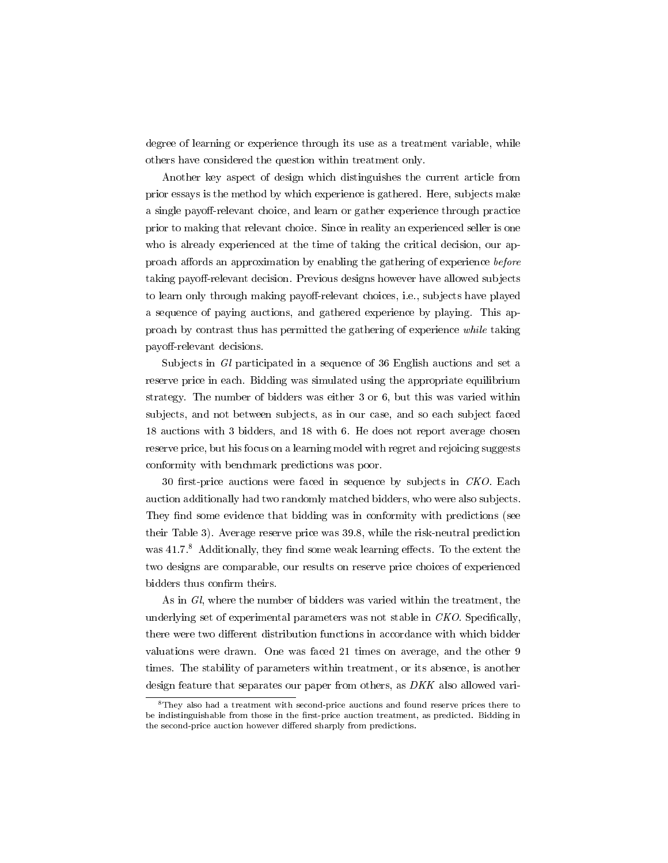degree of learning or experience through its use as a treatment variable, while others have considered the question within treatment only.

Another key aspect of design which distinguishes the current article from prior essays is the method by which experience is gathered. Here, subjects make a single payoff-relevant choice, and learn or gather experience through practice prior to making that relevant choice. Since in reality an experienced seller is one who is already experienced at the time of taking the critical decision, our approach affords an approximation by enabling the gathering of experience before taking payoff-relevant decision. Previous designs however have allowed subjects to learn only through making payoff-relevant choices, i.e., subjects have played a sequence of paying auctions, and gathered experience by playing. This approach by contrast thus has permitted the gathering of experience while taking payoff-relevant decisions.

Subjects in Gl participated in a sequence of 36 English auctions and set a reserve price in each. Bidding was simulated using the appropriate equilibrium strategy. The number of bidders was either 3 or 6, but this was varied within subjects, and not between subjects, as in our case, and so each subject faced 18 auctions with 3 bidders, and 18 with 6. He does not report average chosen reserve price, but his focus on a learning model with regret and rejoicing suggests conformity with benchmark predictions was poor.

30 first-price auctions were faced in sequence by subjects in  $CKO$ . Each auction additionally had two randomly matched bidders, who were also subjects. They find some evidence that bidding was in conformity with predictions (see their Table 3). Average reserve price was 39.8, while the risk-neutral prediction was  $41.7$ <sup>8</sup> Additionally, they find some weak learning effects. To the extent the two designs are comparable, our results on reserve price choices of experienced bidders thus confirm theirs.

As in Gl, where the number of bidders was varied within the treatment, the underlying set of experimental parameters was not stable in  $CKO$ . Specifically, there were two different distribution functions in accordance with which bidder valuations were drawn. One was faced 21 times on average, and the other 9 times. The stability of parameters within treatment, or its absence, is another design feature that separates our paper from others, as DKK also allowed vari-

<sup>8</sup>They also had a treatment with second-price auctions and found reserve prices there to be indistinguishable from those in the first-price auction treatment, as predicted. Bidding in the second-price auction however differed sharply from predictions.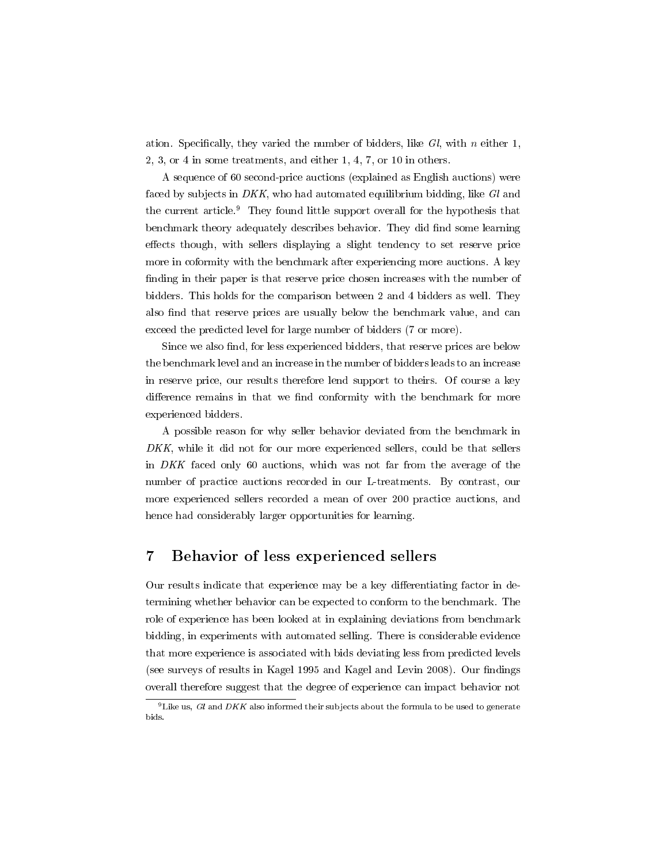ation. Specifically, they varied the number of bidders, like  $Gl$ , with n either 1, 2, 3, or 4 in some treatments, and either 1, 4, 7, or 10 in others.

A sequence of 60 second-price auctions (explained as English auctions) were faced by subjects in DKK, who had automated equilibrium bidding, like Gl and the current article.<sup>9</sup> They found little support overall for the hypothesis that benchmark theory adequately describes behavior. They did find some learning effects though, with sellers displaying a slight tendency to set reserve price more in coformity with the benchmark after experiencing more auctions. A key finding in their paper is that reserve price chosen increases with the number of bidders. This holds for the comparison between 2 and 4 bidders as well. They also find that reserve prices are usually below the benchmark value, and can exceed the predicted level for large number of bidders (7 or more).

Since we also find, for less experienced bidders, that reserve prices are below the benchmark level and an increase in the number of bidders leads to an increase in reserve price, our results therefore lend support to theirs. Of course a key difference remains in that we find conformity with the benchmark for more experienced bidders.

A possible reason for why seller behavior deviated from the benchmark in DKK, while it did not for our more experienced sellers, could be that sellers in DKK faced only 60 auctions, which was not far from the average of the number of practice auctions recorded in our L-treatments. By contrast, our more experienced sellers recorded a mean of over 200 practice auctions, and hence had considerably larger opportunities for learning.

### 7 Behavior of less experienced sellers

Our results indicate that experience may be a key differentiating factor in determining whether behavior can be expected to conform to the benchmark. The role of experience has been looked at in explaining deviations from benchmark bidding, in experiments with automated selling. There is considerable evidence that more experience is associated with bids deviating less from predicted levels (see surveys of results in Kagel 1995 and Kagel and Levin 2008). Our findings overall therefore suggest that the degree of experience can impact behavior not

<sup>&</sup>lt;sup>9</sup> Like us, Gl and DKK also informed their subjects about the formula to be used to generate bids.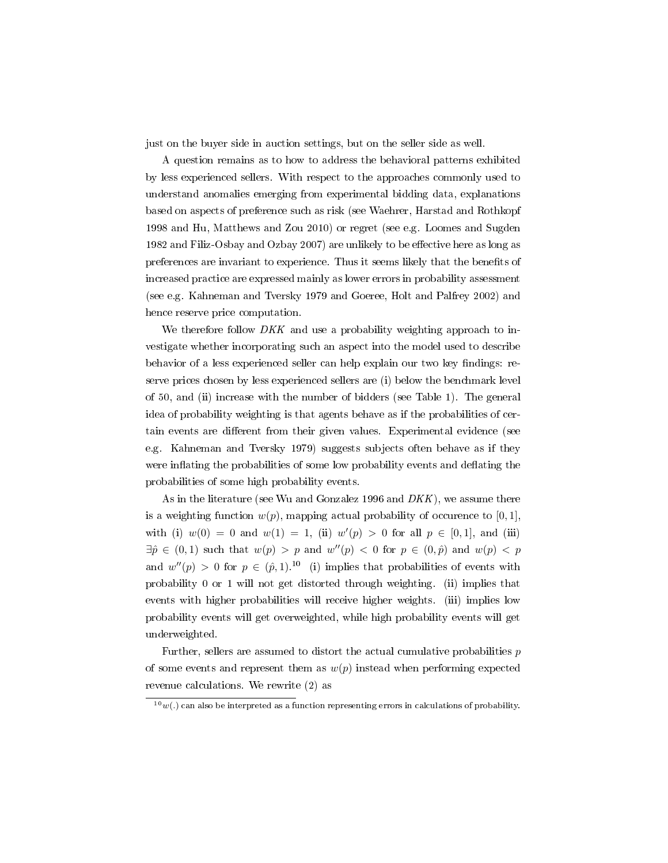just on the buyer side in auction settings, but on the seller side as well.

A question remains as to how to address the behavioral patterns exhibited by less experienced sellers. With respect to the approaches commonly used to understand anomalies emerging from experimental bidding data, explanations based on aspects of preference such as risk (see Waehrer, Harstad and Rothkopf 1998 and Hu, Matthews and Zou 2010) or regret (see e.g. Loomes and Sugden 1982 and Filiz-Osbay and Ozbay 2007) are unlikely to be effective here as long as preferences are invariant to experience. Thus it seems likely that the benets of increased practice are expressed mainly as lower errors in probability assessment (see e.g. Kahneman and Tversky 1979 and Goeree, Holt and Palfrey 2002) and hence reserve price computation.

We therefore follow *DKK* and use a probability weighting approach to investigate whether incorporating such an aspect into the model used to describe behavior of a less experienced seller can help explain our two key findings: reserve prices chosen by less experienced sellers are (i) below the benchmark level of 50, and (ii) increase with the number of bidders (see Table 1). The general idea of probability weighting is that agents behave as if the probabilities of certain events are different from their given values. Experimental evidence (see e.g. Kahneman and Tversky 1979) suggests subjects often behave as if they were inflating the probabilities of some low probability events and deflating the probabilities of some high probability events.

As in the literature (see Wu and Gonzalez 1996 and  $DKK$ ), we assume there is a weighting function  $w(p)$ , mapping actual probability of occurence to [0, 1], with (i)  $w(0) = 0$  and  $w(1) = 1$ , (ii)  $w'(p) > 0$  for all  $p \in [0,1]$ , and (iii)  $\exists \hat{p} \in (0,1)$  such that  $w(p) > p$  and  $w''(p) < 0$  for  $p \in (0,\hat{p})$  and  $w(p) < p$ and  $w''(p) > 0$  for  $p \in (\hat{p}, 1)$ .<sup>10</sup> (i) implies that probabilities of events with probability 0 or 1 will not get distorted through weighting. (ii) implies that events with higher probabilities will receive higher weights. (iii) implies low probability events will get overweighted, while high probability events will get underweighted.

Further, sellers are assumed to distort the actual cumulative probabilities  $p$ of some events and represent them as  $w(p)$  instead when performing expected revenue calculations. We rewrite (2) as

 $10$ <sub>w</sub>(.) can also be interpreted as a function representing errors in calculations of probability.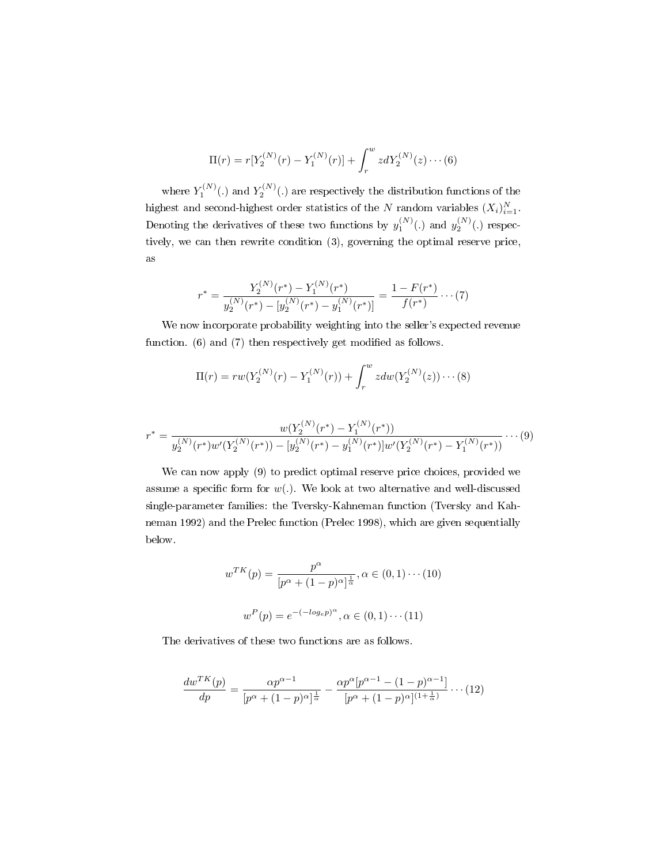$$
\Pi(r) = r[Y_2^{(N)}(r) - Y_1^{(N)}(r)] + \int_r^w z dY_2^{(N)}(z) \cdots (6)
$$

where  $Y_1^{(N)}(.)$  and  $Y_2^{(N)}(.)$  are respectively the distribution functions of the highest and second-highest order statistics of the N random variables  $(X_i)_{i=1}^N$ . Denoting the derivatives of these two functions by  $y_1^{(N)}(.)$  and  $y_2^{(N)}(.)$  respectively, we can then rewrite condition (3), governing the optimal reserve price, as

$$
r^* = \frac{Y_2^{(N)}(r^*) - Y_1^{(N)}(r^*)}{y_2^{(N)}(r^*) - [y_2^{(N)}(r^*) - y_1^{(N)}(r^*)]} = \frac{1 - F(r^*)}{f(r^*)} \cdots (7)
$$

We now incorporate probability weighting into the seller's expected revenue function.  $(6)$  and  $(7)$  then respectively get modified as follows.

$$
\Pi(r) = rw(Y_2^{(N)}(r) - Y_1^{(N)}(r)) + \int_r^w zdw(Y_2^{(N)}(z)) \cdots (8)
$$

$$
r^* = \frac{w(Y_2^{(N)}(r^*) - Y_1^{(N)}(r^*))}{y_2^{(N)}(r^*)w'(Y_2^{(N)}(r^*)) - [y_2^{(N)}(r^*) - y_1^{(N)}(r^*)]w'(Y_2^{(N)}(r^*) - Y_1^{(N)}(r^*))} \cdots (9)
$$

We can now apply (9) to predict optimal reserve price choices, provided we assume a specific form for  $w(.)$ . We look at two alternative and well-discussed single-parameter families: the Tversky-Kahneman function (Tversky and Kahneman 1992) and the Prelec function (Prelec 1998), which are given sequentially below.

$$
w^{TK}(p) = \frac{p^{\alpha}}{[p^{\alpha} + (1-p)^{\alpha}]^{\frac{1}{\alpha}}}, \alpha \in (0, 1) \cdots (10)
$$

$$
w^{P}(p) = e^{-(-\log_e p)^{\alpha}}, \alpha \in (0, 1) \cdots (11)
$$

The derivatives of these two functions are as follows.

$$
\frac{dw^{TK}(p)}{dp} = \frac{\alpha p^{\alpha - 1}}{[p^{\alpha} + (1 - p)^{\alpha}]^{\frac{1}{\alpha}}} - \frac{\alpha p^{\alpha}[p^{\alpha - 1} - (1 - p)^{\alpha - 1}]}{[p^{\alpha} + (1 - p)^{\alpha}]^{(1 + \frac{1}{\alpha})}} \cdots (12)
$$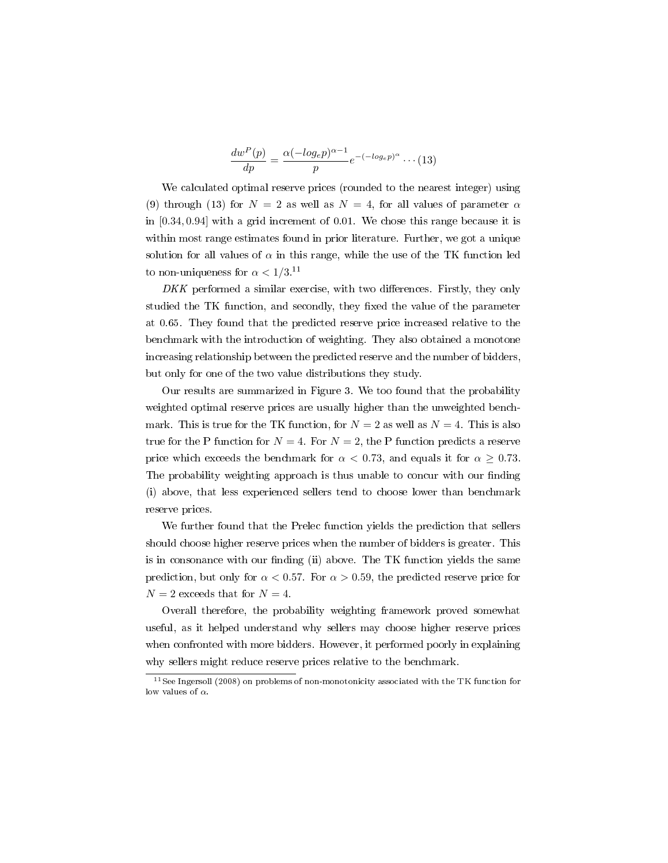$$
\frac{dw^P(p)}{dp} = \frac{\alpha(-log_e p)^{\alpha - 1}}{p} e^{-(-log_e p)^{\alpha}} \cdots (13)
$$

We calculated optimal reserve prices (rounded to the nearest integer) using (9) through (13) for  $N = 2$  as well as  $N = 4$ , for all values of parameter  $\alpha$ in [0.34, 0.94] with a grid increment of 0.01. We chose this range because it is within most range estimates found in prior literature. Further, we got a unique solution for all values of  $\alpha$  in this range, while the use of the TK function led to non-uniqueness for  $\alpha < 1/3$ .<sup>11</sup>

 $DKK$  performed a similar exercise, with two differences. Firstly, they only studied the TK function, and secondly, they fixed the value of the parameter at 0.65. They found that the predicted reserve price increased relative to the benchmark with the introduction of weighting. They also obtained a monotone increasing relationship between the predicted reserve and the number of bidders, but only for one of the two value distributions they study.

Our results are summarized in Figure 3. We too found that the probability weighted optimal reserve prices are usually higher than the unweighted benchmark. This is true for the TK function, for  $N = 2$  as well as  $N = 4$ . This is also true for the P function for  $N = 4$ . For  $N = 2$ , the P function predicts a reserve price which exceeds the benchmark for  $\alpha < 0.73$ , and equals it for  $\alpha \geq 0.73$ . The probability weighting approach is thus unable to concur with our finding (i) above, that less experienced sellers tend to choose lower than benchmark reserve prices.

We further found that the Prelec function yields the prediction that sellers should choose higher reserve prices when the number of bidders is greater. This is in consonance with our finding (ii) above. The TK function yields the same prediction, but only for  $\alpha < 0.57$ . For  $\alpha > 0.59$ , the predicted reserve price for  $N = 2$  exceeds that for  $N = 4$ .

Overall therefore, the probability weighting framework proved somewhat useful, as it helped understand why sellers may choose higher reserve prices when confronted with more bidders. However, it performed poorly in explaining why sellers might reduce reserve prices relative to the benchmark.

<sup>11</sup>See Ingersoll (2008) on problems of non-monotonicity associated with the TK function for low values of  $\alpha$ .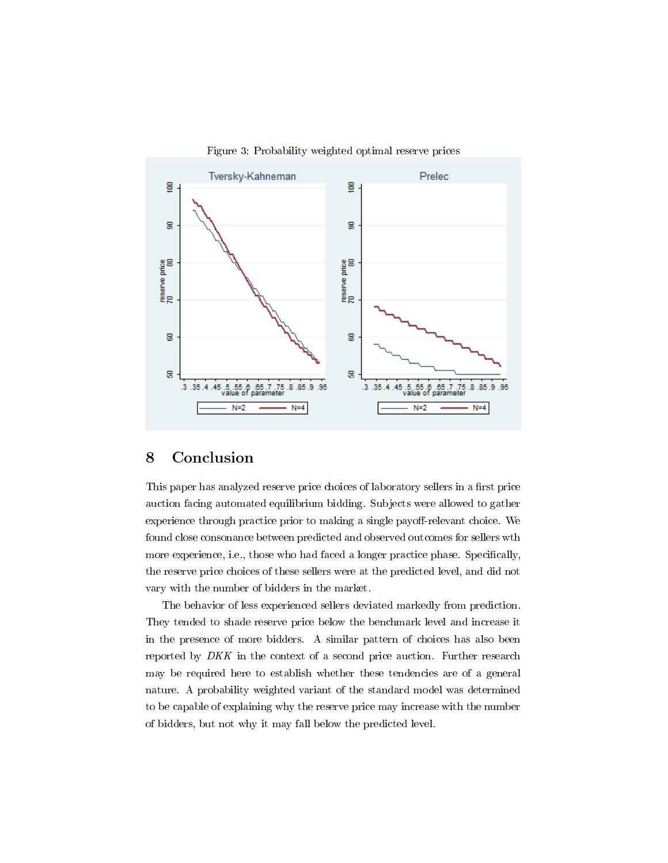

Figure 3: Probability weighted optimal reserve prices

# 8 Conclusion

This paper has analyzed reserve price choices of laboratory sellers in a first price auction facing automated equilibrium bidding. Subjects were allowed to gather experience through practice prior to making a single payoff-relevant choice. We found close consonance between predicted and observed outcomes for sellers wth more experience, i.e., those who had faced a longer practice phase. Specifically, the reserve price choices of these sellers were at the predicted level, and did not vary with the number of bidders in the market.

The behavior of less experienced sellers deviated markedly from prediction. They tended to shade reserve price below the benchmark level and increase it in the presence of more bidders. A similar pattern of choices has also been reported by DKK in the context of a second price auction. Further research may be required here to establish whether these tendencies are of a general nature. A probability weighted variant of the standard model was determined to be capable of explaining why the reserve price may increase with the number of bidders, but not why it may fall below the predicted level.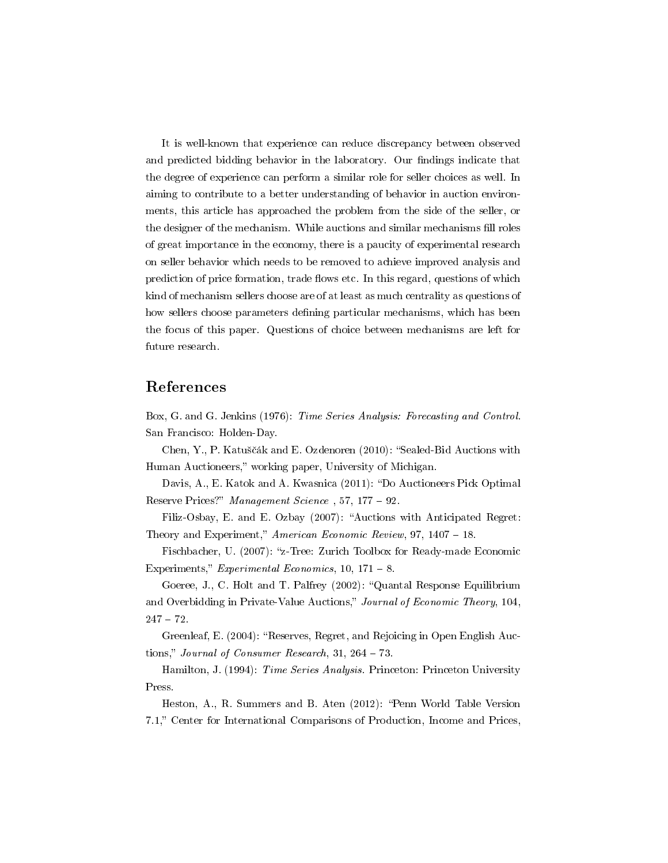It is well-known that experience can reduce discrepancy between observed and predicted bidding behavior in the laboratory. Our findings indicate that the degree of experience can perform a similar role for seller choices as well. In aiming to contribute to a better understanding of behavior in auction environments, this article has approached the problem from the side of the seller, or the designer of the mechanism. While auctions and similar mechanisms fill roles of great importance in the economy, there is a paucity of experimental research on seller behavior which needs to be removed to achieve improved analysis and prediction of price formation, trade flows etc. In this regard, questions of which kind of mechanism sellers choose are of at least as much centrality as questions of how sellers choose parameters defining particular mechanisms, which has been the focus of this paper. Questions of choice between mechanisms are left for future research.

#### References

Box, G. and G. Jenkins (1976): Time Series Analysis: Forecasting and Control. San Francisco: Holden-Day.

Chen, Y., P. Katuščák and E. Ozdenoren (2010): "Sealed-Bid Auctions with Human Auctioneers," working paper, University of Michigan.

Davis, A., E. Katok and A. Kwasnica (2011): "Do Auctioneers Pick Optimal Reserve Prices?" Management Science, 57, 177 – 92.

Filiz-Osbay, E. and E. Ozbay (2007): "Auctions with Anticipated Regret: Theory and Experiment," American Economic Review,  $97, 1407 - 18$ .

Fischbacher, U. (2007): "z-Tree: Zurich Toolbox for Ready-made Economic Experiments," Experimental Economics,  $10, 171 - 8$ .

Goeree, J., C. Holt and T. Palfrey (2002): "Quantal Response Equilibrium and Overbidding in Private-Value Auctions," Journal of Economic Theory, 104,  $247 - 72.$ 

Greenleaf, E. (2004): "Reserves, Regret, and Rejoicing in Open English Auctions," Journal of Consumer Research, 31, 264  $-$  73.

Hamilton, J. (1994): Time Series Analysis. Princeton: Princeton University Press.

Heston, A., R. Summers and B. Aten (2012): "Penn World Table Version 7.1," Center for International Comparisons of Production, Income and Prices,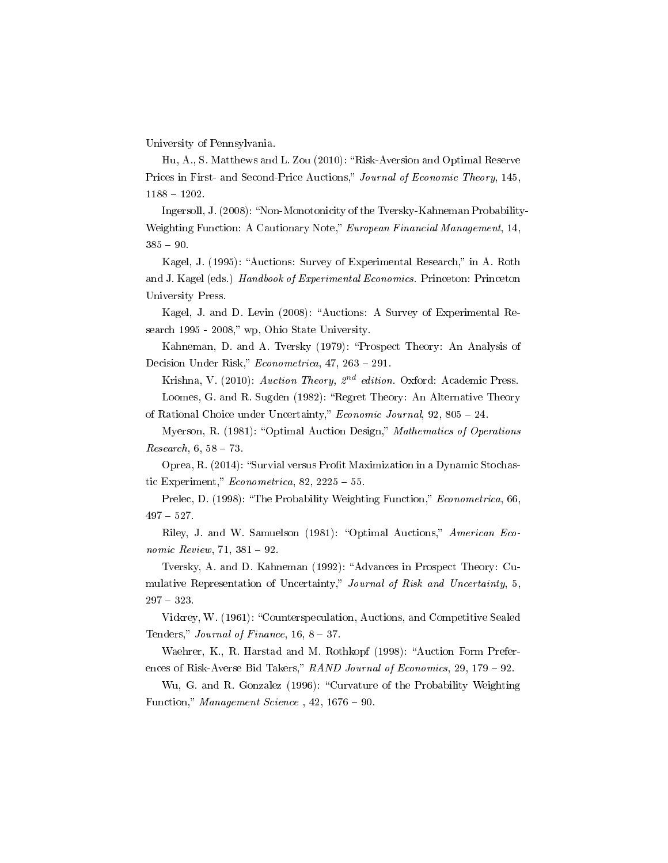University of Pennsylvania.

Hu, A., S. Matthews and L. Zou (2010): "Risk-Aversion and Optimal Reserve Prices in First- and Second-Price Auctions," Journal of Economic Theory, 145,  $1188 - 1202$ 

Ingersoll, J. (2008): "Non-Monotonicity of the Tversky-Kahneman Probability-Weighting Function: A Cautionary Note," European Financial Management, 14,  $385 - 90.$ 

Kagel, J. (1995): "Auctions: Survey of Experimental Research," in A. Roth and J. Kagel (eds.) Handbook of Experimental Economics. Princeton: Princeton University Press.

Kagel, J. and D. Levin (2008): "Auctions: A Survey of Experimental Research 1995 - 2008," wp, Ohio State University.

Kahneman, D. and A. Tversky (1979): "Prospect Theory: An Analysis of Decision Under Risk,"  $Econometrica$ ,  $47$ ,  $263 - 291$ .

Krishna, V. (2010): Auction Theory,  $2^{nd}$  edition. Oxford: Academic Press.

Loomes, G. and R. Sugden (1982): "Regret Theory: An Alternative Theory of Rational Choice under Uncertainty," *Economic Journal*,  $92$ ,  $805 - 24$ .

Myerson, R. (1981): "Optimal Auction Design," Mathematics of Operations  $Research, 6, 58 - 73.$ 

Oprea, R. (2014): "Survial versus Profit Maximization in a Dynamic Stochastic Experiment,"  $Econometrica$ , 82, 2225 – 55.

Prelec, D. (1998): "The Probability Weighting Function," *Econometrica*, 66,  $497 - 527.$ 

Riley, J. and W. Samuelson (1981): "Optimal Auctions," American Economic Review, 71,  $381 - 92$ .

Tversky, A. and D. Kahneman (1992): "Advances in Prospect Theory: Cumulative Representation of Uncertainty," Journal of Risk and Uncertainty, 5,  $297 - 323.$ 

Vickrey, W. (1961): "Counterspeculation, Auctions, and Competitive Sealed Tenders," Journal of Finance,  $16, 8 - 37$ .

Waehrer, K., R. Harstad and M. Rothkopf (1998): "Auction Form Preferences of Risk-Averse Bid Takers,"  $RAND$  Journal of Economics, 29, 179 - 92.

Wu, G. and R. Gonzalez (1996): "Curvature of the Probability Weighting Function," Management Science,  $42, 1676 - 90$ .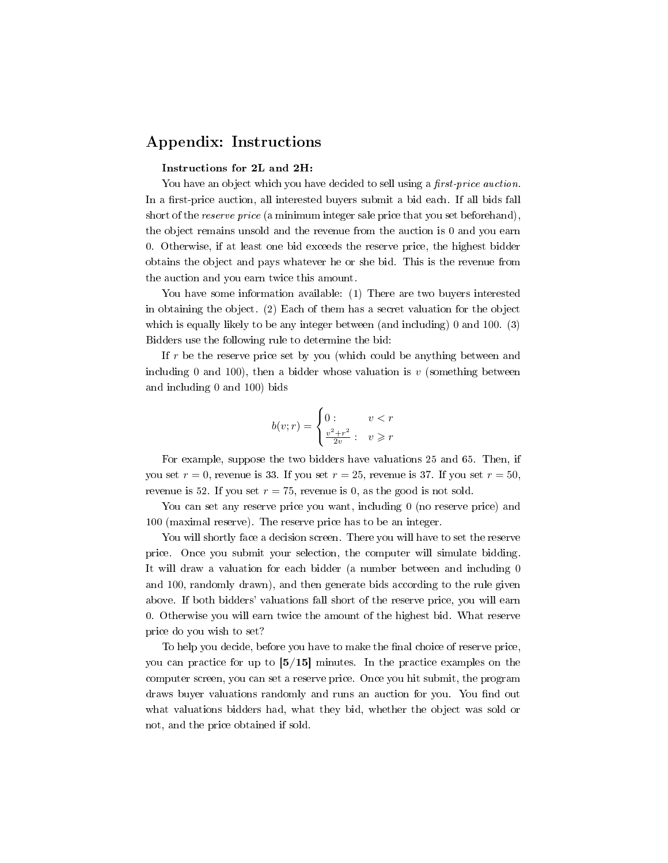### Appendix: Instructions

#### Instructions for 2L and 2H:

You have an object which you have decided to sell using a first-price auction. In a first-price auction, all interested buyers submit a bid each. If all bids fall short of the *reserve price* (a minimum integer sale price that you set beforehand), the object remains unsold and the revenue from the auction is 0 and you earn 0. Otherwise, if at least one bid exceeds the reserve price, the highest bidder obtains the object and pays whatever he or she bid. This is the revenue from the auction and you earn twice this amount.

You have some information available: (1) There are two buyers interested in obtaining the object. (2) Each of them has a secret valuation for the object which is equally likely to be any integer between (and including) 0 and 100. (3) Bidders use the following rule to determine the bid:

If r be the reserve price set by you (which could be anything between and including 0 and 100), then a bidder whose valuation is  $v$  (something between and including 0 and 100) bids

$$
b(v;r) = \begin{cases} 0: & v < r \\ \frac{v^2 + r^2}{2v} : & v \geq r \end{cases}
$$

For example, suppose the two bidders have valuations 25 and 65. Then, if you set  $r = 0$ , revenue is 33. If you set  $r = 25$ , revenue is 37. If you set  $r = 50$ , revenue is 52. If you set  $r = 75$ , revenue is 0, as the good is not sold.

You can set any reserve price you want, including 0 (no reserve price) and 100 (maximal reserve). The reserve price has to be an integer.

You will shortly face a decision screen. There you will have to set the reserve price. Once you submit your selection, the computer will simulate bidding. It will draw a valuation for each bidder (a number between and including 0 and 100, randomly drawn), and then generate bids according to the rule given above. If both bidders' valuations fall short of the reserve price, you will earn 0. Otherwise you will earn twice the amount of the highest bid. What reserve price do you wish to set?

To help you decide, before you have to make the final choice of reserve price, you can practice for up to  $\left[5/15\right]$  minutes. In the practice examples on the computer screen, you can set a reserve price. Once you hit submit, the program draws buyer valuations randomly and runs an auction for you. You find out what valuations bidders had, what they bid, whether the object was sold or not, and the price obtained if sold.